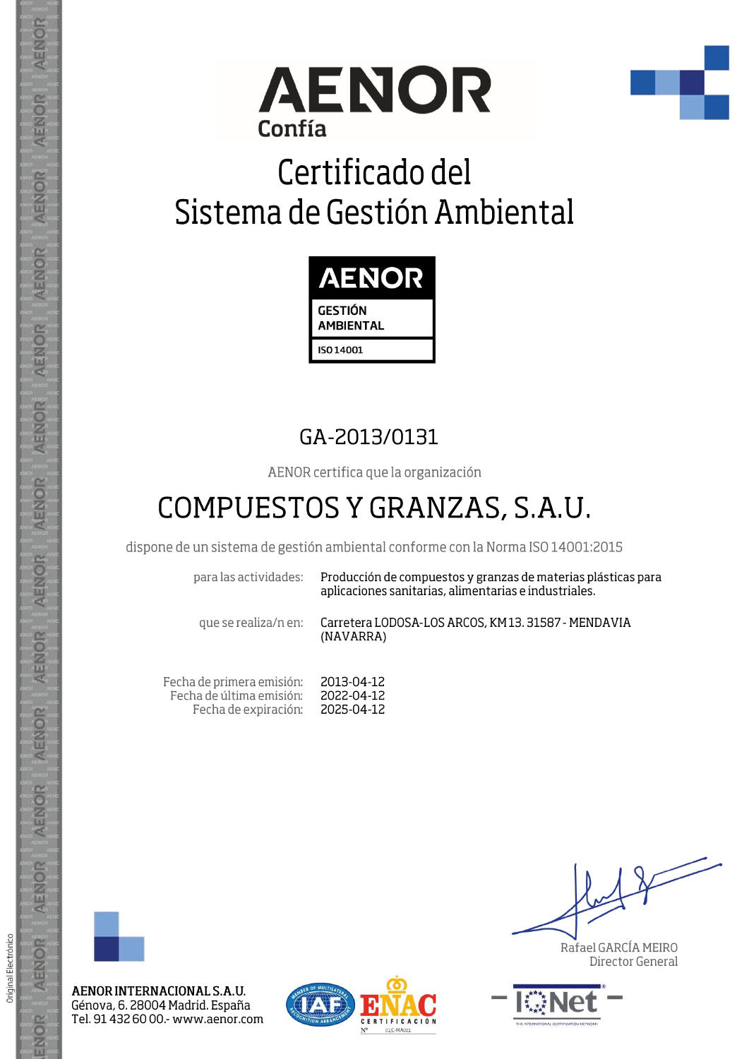



## Certificado del Sistema de Gestión Ambiental



## GA-2013/0131

AENOR certifica que la organización

## COMPUESTOS Y GRANZAS, S.A.U.

dispone de un sistema de gestión ambiental conforme con la Norma ISO 14001:2015

para las actividades:

Producción de compuestos y granzas de materias plásticas para aplicaciones sanitarias, alimentarias e industriales.

que se realiza/n en:

Carretera LODOSA-LOS ARCOS, KM13. 31587 - MENDAVIA (NAVARRA)

Fecha de primera emisión: 2013-04-12 Fecha de última emisión: 2022-04-12 Fecha de expiración: 2025-04-12



AENOR INTERNACIONAL S.A.U. Génova, 6. 28004 Madrid. España Tel. 91 432 60 00 - www.aenor.com



Rafael GARCÍA MEIRO Director General



AENOR

ENOR

ENOR

**AENOR** 

AENOR

AENOR

**AENOR** 

AENOR

ENOR

AENOR

AENOR

AENOR

AENOR

ENOR